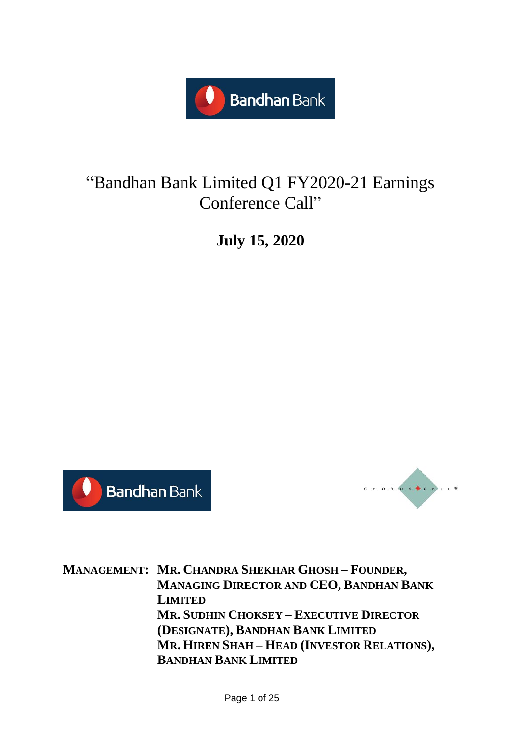

# "Bandhan Bank Limited Q1 FY2020-21 Earnings Conference Call"

**July 15, 2020**





**MANAGEMENT: MR. CHANDRA SHEKHAR GHOSH – FOUNDER, MANAGING DIRECTOR AND CEO, BANDHAN BANK LIMITED MR. SUDHIN CHOKSEY – EXECUTIVE DIRECTOR (DESIGNATE), BANDHAN BANK LIMITED MR. HIREN SHAH – HEAD (INVESTOR RELATIONS), BANDHAN BANK LIMITED**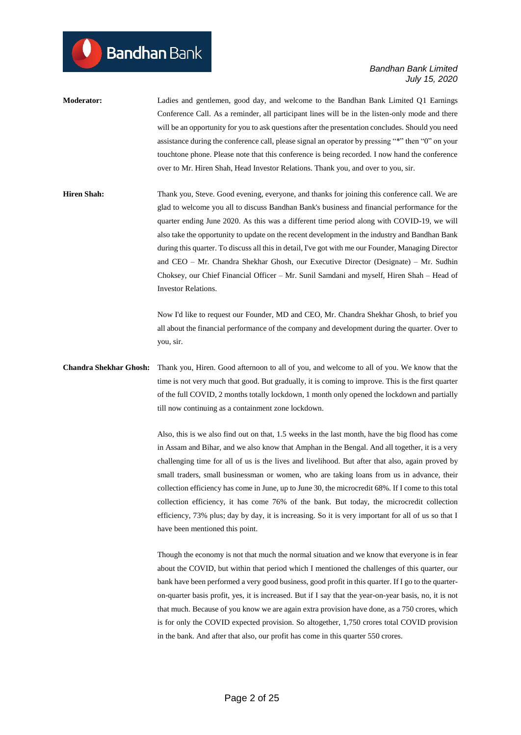- **Moderator:** Ladies and gentlemen, good day, and welcome to the Bandhan Bank Limited Q1 Earnings Conference Call. As a reminder, all participant lines will be in the listen-only mode and there will be an opportunity for you to ask questions after the presentation concludes. Should you need assistance during the conference call, please signal an operator by pressing "\*" then "0" on your touchtone phone. Please note that this conference is being recorded. I now hand the conference over to Mr. Hiren Shah, Head Investor Relations. Thank you, and over to you, sir.
- **Hiren Shah:** Thank you, Steve. Good evening, everyone, and thanks for joining this conference call. We are glad to welcome you all to discuss Bandhan Bank's business and financial performance for the quarter ending June 2020. As this was a different time period along with COVID-19, we will also take the opportunity to update on the recent development in the industry and Bandhan Bank during this quarter. To discuss all this in detail, I've got with me our Founder, Managing Director and CEO – Mr. Chandra Shekhar Ghosh, our Executive Director (Designate) – Mr. Sudhin Choksey, our Chief Financial Officer – Mr. Sunil Samdani and myself, Hiren Shah – Head of Investor Relations.

Now I'd like to request our Founder, MD and CEO, Mr. Chandra Shekhar Ghosh, to brief you all about the financial performance of the company and development during the quarter. Over to you, sir.

### **Chandra Shekhar Ghosh:** Thank you, Hiren. Good afternoon to all of you, and welcome to all of you. We know that the time is not very much that good. But gradually, it is coming to improve. This is the first quarter of the full COVID, 2 months totally lockdown, 1 month only opened the lockdown and partially till now continuing as a containment zone lockdown.

Also, this is we also find out on that, 1.5 weeks in the last month, have the big flood has come in Assam and Bihar, and we also know that Amphan in the Bengal. And all together, it is a very challenging time for all of us is the lives and livelihood. But after that also, again proved by small traders, small businessman or women, who are taking loans from us in advance, their collection efficiency has come in June, up to June 30, the microcredit 68%. If I come to this total collection efficiency, it has come 76% of the bank. But today, the microcredit collection efficiency, 73% plus; day by day, it is increasing. So it is very important for all of us so that I have been mentioned this point.

Though the economy is not that much the normal situation and we know that everyone is in fear about the COVID, but within that period which I mentioned the challenges of this quarter, our bank have been performed a very good business, good profit in this quarter. If I go to the quarteron-quarter basis profit, yes, it is increased. But if I say that the year-on-year basis, no, it is not that much. Because of you know we are again extra provision have done, as a 750 crores, which is for only the COVID expected provision. So altogether, 1,750 crores total COVID provision in the bank. And after that also, our profit has come in this quarter 550 crores.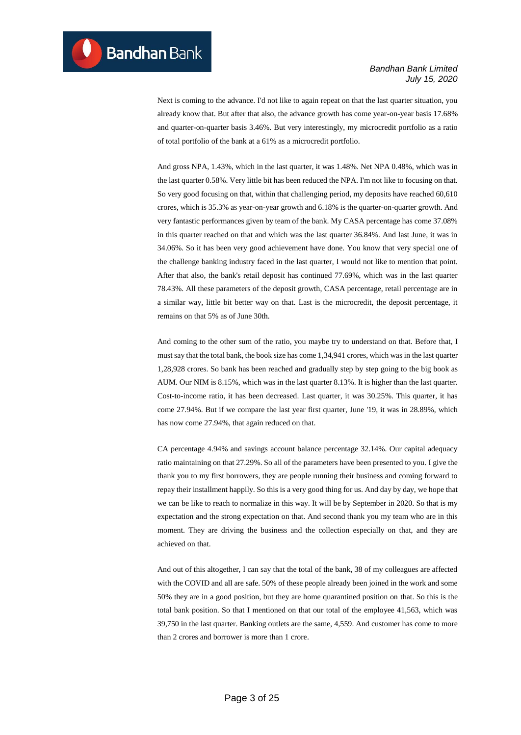Next is coming to the advance. I'd not like to again repeat on that the last quarter situation, you already know that. But after that also, the advance growth has come year-on-year basis 17.68% and quarter-on-quarter basis 3.46%. But very interestingly, my microcredit portfolio as a ratio of total portfolio of the bank at a 61% as a microcredit portfolio.

And gross NPA, 1.43%, which in the last quarter, it was 1.48%. Net NPA 0.48%, which was in the last quarter 0.58%. Very little bit has been reduced the NPA. I'm not like to focusing on that. So very good focusing on that, within that challenging period, my deposits have reached 60,610 crores, which is 35.3% as year-on-year growth and 6.18% is the quarter-on-quarter growth. And very fantastic performances given by team of the bank. My CASA percentage has come 37.08% in this quarter reached on that and which was the last quarter 36.84%. And last June, it was in 34.06%. So it has been very good achievement have done. You know that very special one of the challenge banking industry faced in the last quarter, I would not like to mention that point. After that also, the bank's retail deposit has continued 77.69%, which was in the last quarter 78.43%. All these parameters of the deposit growth, CASA percentage, retail percentage are in a similar way, little bit better way on that. Last is the microcredit, the deposit percentage, it remains on that 5% as of June 30th.

And coming to the other sum of the ratio, you maybe try to understand on that. Before that, I must say that the total bank, the book size has come 1,34,941 crores, which was in the last quarter 1,28,928 crores. So bank has been reached and gradually step by step going to the big book as AUM. Our NIM is 8.15%, which was in the last quarter 8.13%. It is higher than the last quarter. Cost-to-income ratio, it has been decreased. Last quarter, it was 30.25%. This quarter, it has come 27.94%. But if we compare the last year first quarter, June '19, it was in 28.89%, which has now come 27.94%, that again reduced on that.

CA percentage 4.94% and savings account balance percentage 32.14%. Our capital adequacy ratio maintaining on that 27.29%. So all of the parameters have been presented to you. I give the thank you to my first borrowers, they are people running their business and coming forward to repay their installment happily. So this is a very good thing for us. And day by day, we hope that we can be like to reach to normalize in this way. It will be by September in 2020. So that is my expectation and the strong expectation on that. And second thank you my team who are in this moment. They are driving the business and the collection especially on that, and they are achieved on that.

And out of this altogether, I can say that the total of the bank, 38 of my colleagues are affected with the COVID and all are safe. 50% of these people already been joined in the work and some 50% they are in a good position, but they are home quarantined position on that. So this is the total bank position. So that I mentioned on that our total of the employee 41,563, which was 39,750 in the last quarter. Banking outlets are the same, 4,559. And customer has come to more than 2 crores and borrower is more than 1 crore.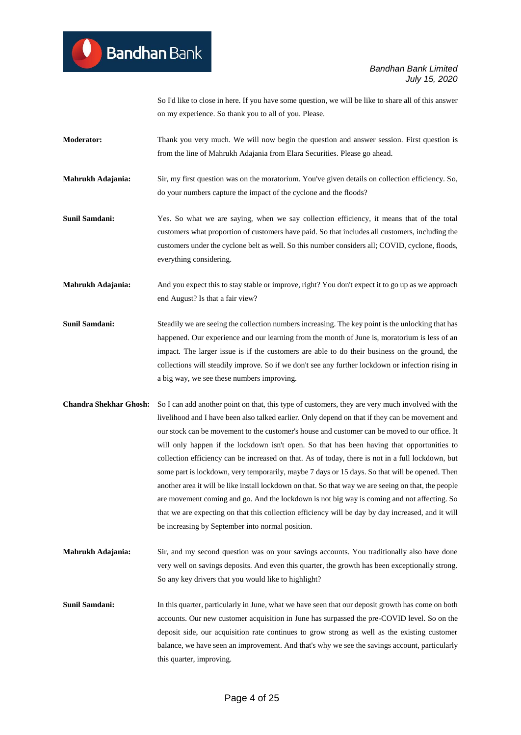So I'd like to close in here. If you have some question, we will be like to share all of this answer on my experience. So thank you to all of you. Please.

- **Moderator:** Thank you very much. We will now begin the question and answer session. First question is from the line of Mahrukh Adajania from Elara Securities. Please go ahead.
- **Mahrukh Adajania:** Sir, my first question was on the moratorium. You've given details on collection efficiency. So, do your numbers capture the impact of the cyclone and the floods?
- **Sunil Samdani:** Yes. So what we are saying, when we say collection efficiency, it means that of the total customers what proportion of customers have paid. So that includes all customers, including the customers under the cyclone belt as well. So this number considers all; COVID, cyclone, floods, everything considering.
- **Mahrukh Adajania:** And you expect this to stay stable or improve, right? You don't expect it to go up as we approach end August? Is that a fair view?
- **Sunil Samdani:** Steadily we are seeing the collection numbers increasing. The key point is the unlocking that has happened. Our experience and our learning from the month of June is, moratorium is less of an impact. The larger issue is if the customers are able to do their business on the ground, the collections will steadily improve. So if we don't see any further lockdown or infection rising in a big way, we see these numbers improving.
- **Chandra Shekhar Ghosh:** So I can add another point on that, this type of customers, they are very much involved with the livelihood and I have been also talked earlier. Only depend on that if they can be movement and our stock can be movement to the customer's house and customer can be moved to our office. It will only happen if the lockdown isn't open. So that has been having that opportunities to collection efficiency can be increased on that. As of today, there is not in a full lockdown, but some part is lockdown, very temporarily, maybe 7 days or 15 days. So that will be opened. Then another area it will be like install lockdown on that. So that way we are seeing on that, the people are movement coming and go. And the lockdown is not big way is coming and not affecting. So that we are expecting on that this collection efficiency will be day by day increased, and it will be increasing by September into normal position.
- **Mahrukh Adajania:** Sir, and my second question was on your savings accounts. You traditionally also have done very well on savings deposits. And even this quarter, the growth has been exceptionally strong. So any key drivers that you would like to highlight?
- **Sunil Samdani:** In this quarter, particularly in June, what we have seen that our deposit growth has come on both accounts. Our new customer acquisition in June has surpassed the pre-COVID level. So on the deposit side, our acquisition rate continues to grow strong as well as the existing customer balance, we have seen an improvement. And that's why we see the savings account, particularly this quarter, improving.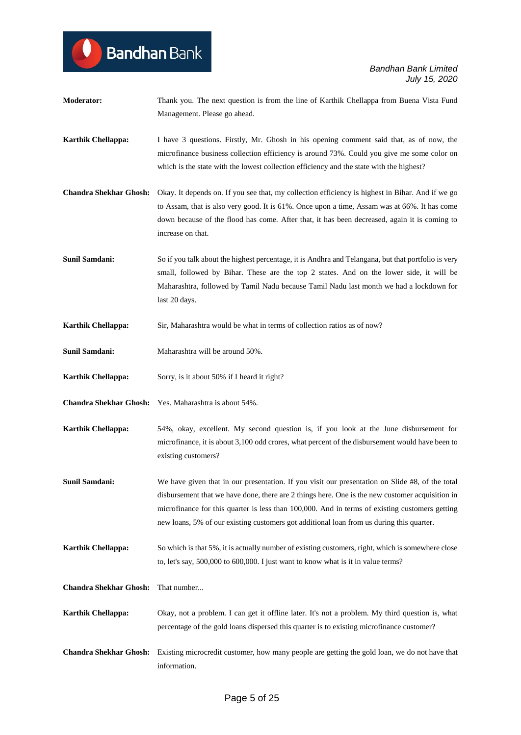**Moderator:** Thank you. The next question is from the line of Karthik Chellappa from Buena Vista Fund Management. Please go ahead. **Karthik Chellappa:** I have 3 questions. Firstly, Mr. Ghosh in his opening comment said that, as of now, the microfinance business collection efficiency is around 73%. Could you give me some color on which is the state with the lowest collection efficiency and the state with the highest? **Chandra Shekhar Ghosh:** Okay. It depends on. If you see that, my collection efficiency is highest in Bihar. And if we go to Assam, that is also very good. It is 61%. Once upon a time, Assam was at 66%. It has come down because of the flood has come. After that, it has been decreased, again it is coming to increase on that. **Sunil Samdani:** So if you talk about the highest percentage, it is Andhra and Telangana, but that portfolio is very small, followed by Bihar. These are the top 2 states. And on the lower side, it will be Maharashtra, followed by Tamil Nadu because Tamil Nadu last month we had a lockdown for last 20 days. **Karthik Chellappa:** Sir, Maharashtra would be what in terms of collection ratios as of now? **Sunil Samdani:** Maharashtra will be around 50%. **Karthik Chellappa:** Sorry, is it about 50% if I heard it right? **Chandra Shekhar Ghosh:** Yes. Maharashtra is about 54%. **Karthik Chellappa:** 54%, okay, excellent. My second question is, if you look at the June disbursement for microfinance, it is about 3,100 odd crores, what percent of the disbursement would have been to existing customers? **Sunil Samdani:** We have given that in our presentation. If you visit our presentation on Slide #8, of the total disbursement that we have done, there are 2 things here. One is the new customer acquisition in microfinance for this quarter is less than 100,000. And in terms of existing customers getting new loans, 5% of our existing customers got additional loan from us during this quarter. **Karthik Chellappa:** So which is that 5%, it is actually number of existing customers, right, which is somewhere close to, let's say, 500,000 to 600,000. I just want to know what is it in value terms? **Chandra Shekhar Ghosh:** That number... **Karthik Chellappa:** Okay, not a problem. I can get it offline later. It's not a problem. My third question is, what percentage of the gold loans dispersed this quarter is to existing microfinance customer? **Chandra Shekhar Ghosh:** Existing microcredit customer, how many people are getting the gold loan, we do not have that information.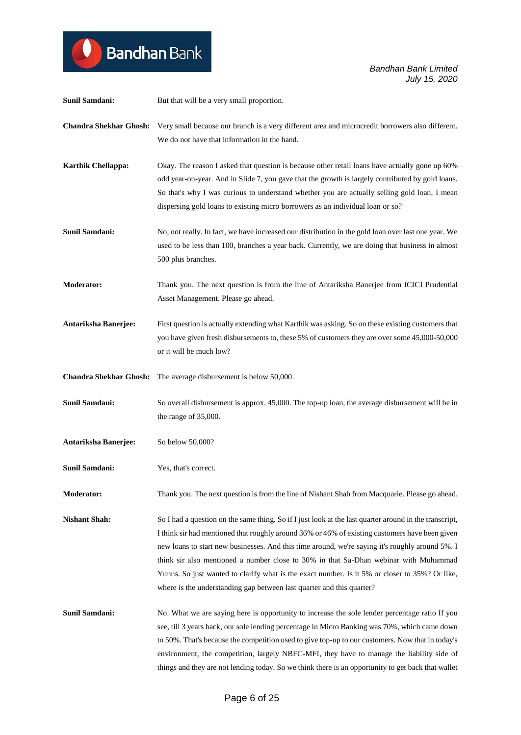### Bandhan Bank  $\bf{O}$

*Bandhan Bank Limited July 15, 2020*

| <b>Sunil Samdani:</b>         | But that will be a very small proportion.                                                                                                                                                                                                                                                                                                                                                                                                                                                                                                                                      |
|-------------------------------|--------------------------------------------------------------------------------------------------------------------------------------------------------------------------------------------------------------------------------------------------------------------------------------------------------------------------------------------------------------------------------------------------------------------------------------------------------------------------------------------------------------------------------------------------------------------------------|
| <b>Chandra Shekhar Ghosh:</b> | Very small because our branch is a very different area and microcredit borrowers also different.<br>We do not have that information in the hand.                                                                                                                                                                                                                                                                                                                                                                                                                               |
| <b>Karthik Chellappa:</b>     | Okay. The reason I asked that question is because other retail loans have actually gone up 60%<br>odd year-on-year. And in Slide 7, you gave that the growth is largely contributed by gold loans.<br>So that's why I was curious to understand whether you are actually selling gold loan, I mean<br>dispersing gold loans to existing micro borrowers as an individual loan or so?                                                                                                                                                                                           |
| Sunil Samdani:                | No, not really. In fact, we have increased our distribution in the gold loan over last one year. We<br>used to be less than 100, branches a year back. Currently, we are doing that business in almost<br>500 plus branches.                                                                                                                                                                                                                                                                                                                                                   |
| <b>Moderator:</b>             | Thank you. The next question is from the line of Antariksha Banerjee from ICICI Prudential<br>Asset Management. Please go ahead.                                                                                                                                                                                                                                                                                                                                                                                                                                               |
| Antariksha Banerjee:          | First question is actually extending what Karthik was asking. So on these existing customers that<br>you have given fresh disbursements to, these 5% of customers they are over some 45,000-50,000<br>or it will be much low?                                                                                                                                                                                                                                                                                                                                                  |
| <b>Chandra Shekhar Ghosh:</b> | The average disbursement is below 50,000.                                                                                                                                                                                                                                                                                                                                                                                                                                                                                                                                      |
| <b>Sunil Samdani:</b>         | So overall disbursement is approx. 45,000. The top-up loan, the average disbursement will be in<br>the range of 35,000.                                                                                                                                                                                                                                                                                                                                                                                                                                                        |
| Antariksha Banerjee:          | So below 50,000?                                                                                                                                                                                                                                                                                                                                                                                                                                                                                                                                                               |
| Sunil Samdani:                | Yes, that's correct.                                                                                                                                                                                                                                                                                                                                                                                                                                                                                                                                                           |
| Moderator:                    | Thank you. The next question is from the line of Nishant Shah from Macquarie. Please go ahead.                                                                                                                                                                                                                                                                                                                                                                                                                                                                                 |
| <b>Nishant Shah:</b>          | So I had a question on the same thing. So if I just look at the last quarter around in the transcript,<br>I think sir had mentioned that roughly around 36% or 46% of existing customers have been given<br>new loans to start new businesses. And this time around, we're saying it's roughly around 5%. I<br>think sir also mentioned a number close to 30% in that Sa-Dhan webinar with Muhammad<br>Yunus. So just wanted to clarify what is the exact number. Is it 5% or closer to 35%? Or like,<br>where is the understanding gap between last quarter and this quarter? |
| <b>Sunil Samdani:</b>         | No. What we are saying here is opportunity to increase the sole lender percentage ratio If you<br>see, till 3 years back, our sole lending percentage in Micro Banking was 70%, which came down<br>to 50%. That's because the competition used to give top-up to our customers. Now that in today's<br>environment, the competition, largely NBFC-MFI, they have to manage the liability side of<br>things and they are not lending today. So we think there is an opportunity to get back that wallet                                                                         |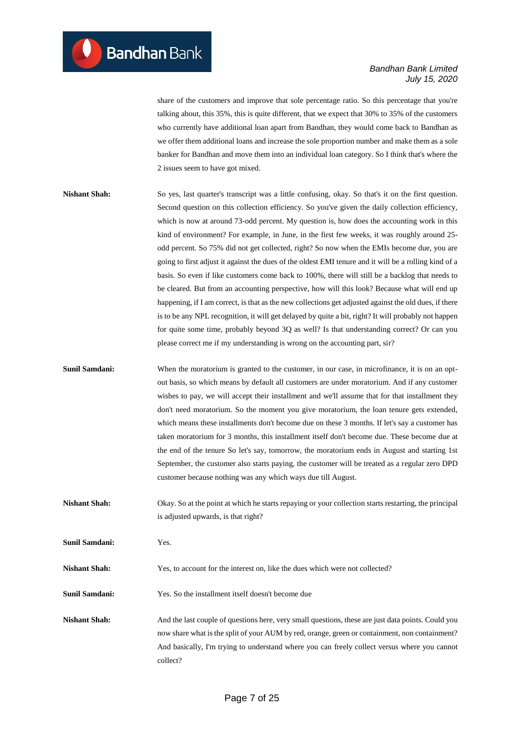share of the customers and improve that sole percentage ratio. So this percentage that you're talking about, this 35%, this is quite different, that we expect that 30% to 35% of the customers who currently have additional loan apart from Bandhan, they would come back to Bandhan as we offer them additional loans and increase the sole proportion number and make them as a sole banker for Bandhan and move them into an individual loan category. So I think that's where the 2 issues seem to have got mixed.

**Nishant Shah:** So yes, last quarter's transcript was a little confusing, okay. So that's it on the first question. Second question on this collection efficiency. So you've given the daily collection efficiency, which is now at around 73-odd percent. My question is, how does the accounting work in this kind of environment? For example, in June, in the first few weeks, it was roughly around 25 odd percent. So 75% did not get collected, right? So now when the EMIs become due, you are going to first adjust it against the dues of the oldest EMI tenure and it will be a rolling kind of a basis. So even if like customers come back to 100%, there will still be a backlog that needs to be cleared. But from an accounting perspective, how will this look? Because what will end up happening, if I am correct, is that as the new collections get adjusted against the old dues, if there is to be any NPL recognition, it will get delayed by quite a bit, right? It will probably not happen for quite some time, probably beyond 3Q as well? Is that understanding correct? Or can you please correct me if my understanding is wrong on the accounting part, sir?

**Sunil Samdani:** When the moratorium is granted to the customer, in our case, in microfinance, it is on an optout basis, so which means by default all customers are under moratorium. And if any customer wishes to pay, we will accept their installment and we'll assume that for that installment they don't need moratorium. So the moment you give moratorium, the loan tenure gets extended, which means these installments don't become due on these 3 months. If let's say a customer has taken moratorium for 3 months, this installment itself don't become due. These become due at the end of the tenure So let's say, tomorrow, the moratorium ends in August and starting 1st September, the customer also starts paying, the customer will be treated as a regular zero DPD customer because nothing was any which ways due till August.

**Nishant Shah:** Okay. So at the point at which he starts repaying or your collection starts restarting, the principal is adjusted upwards, is that right?

**Sunil Samdani:** Yes.

**Nishant Shah:** Yes, to account for the interest on, like the dues which were not collected?

**Sunil Samdani:** Yes. So the installment itself doesn't become due

**Nishant Shah:** And the last couple of questions here, very small questions, these are just data points. Could you now share what is the split of your AUM by red, orange, green or containment, non containment? And basically, I'm trying to understand where you can freely collect versus where you cannot collect?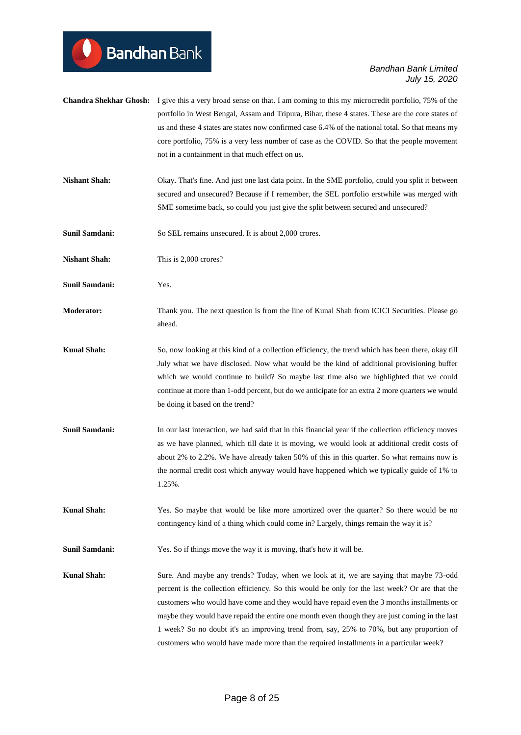- **Chandra Shekhar Ghosh:** I give this a very broad sense on that. I am coming to this my microcredit portfolio, 75% of the portfolio in West Bengal, Assam and Tripura, Bihar, these 4 states. These are the core states of us and these 4 states are states now confirmed case 6.4% of the national total. So that means my core portfolio, 75% is a very less number of case as the COVID. So that the people movement not in a containment in that much effect on us.
- **Nishant Shah:** Okay. That's fine. And just one last data point. In the SME portfolio, could you split it between secured and unsecured? Because if I remember, the SEL portfolio erstwhile was merged with SME sometime back, so could you just give the split between secured and unsecured?
- **Sunil Samdani:** So SEL remains unsecured. It is about 2,000 crores.
- **Nishant Shah:** This is 2,000 crores?
- **Sunil Samdani:** Yes.
- **Moderator:** Thank you. The next question is from the line of Kunal Shah from ICICI Securities. Please go ahead.
- **Kunal Shah:** So, now looking at this kind of a collection efficiency, the trend which has been there, okay till July what we have disclosed. Now what would be the kind of additional provisioning buffer which we would continue to build? So maybe last time also we highlighted that we could continue at more than 1-odd percent, but do we anticipate for an extra 2 more quarters we would be doing it based on the trend?
- **Sunil Samdani:** In our last interaction, we had said that in this financial year if the collection efficiency moves as we have planned, which till date it is moving, we would look at additional credit costs of about 2% to 2.2%. We have already taken 50% of this in this quarter. So what remains now is the normal credit cost which anyway would have happened which we typically guide of 1% to 1.25%.
- **Kunal Shah:** Yes. So maybe that would be like more amortized over the quarter? So there would be no contingency kind of a thing which could come in? Largely, things remain the way it is?
- **Sunil Samdani:** Yes. So if things move the way it is moving, that's how it will be.

**Kunal Shah:** Sure. And maybe any trends? Today, when we look at it, we are saying that maybe 73-odd percent is the collection efficiency. So this would be only for the last week? Or are that the customers who would have come and they would have repaid even the 3 months installments or maybe they would have repaid the entire one month even though they are just coming in the last 1 week? So no doubt it's an improving trend from, say, 25% to 70%, but any proportion of customers who would have made more than the required installments in a particular week?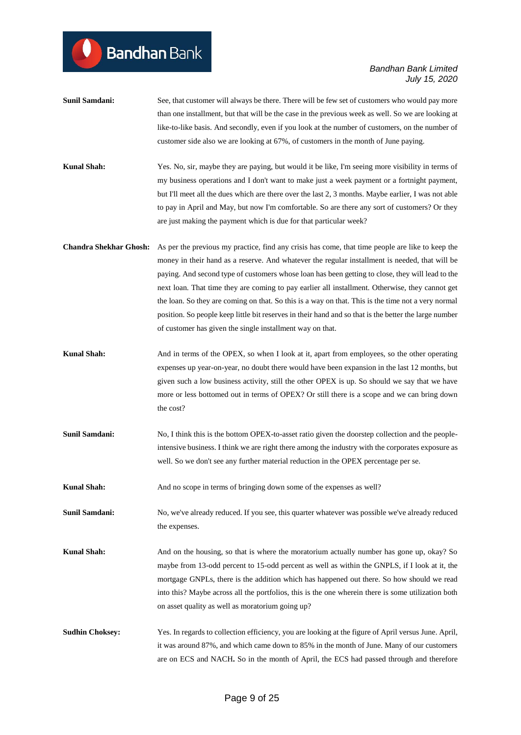**Sunil Samdani:** See, that customer will always be there. There will be few set of customers who would pay more than one installment, but that will be the case in the previous week as well. So we are looking at like-to-like basis. And secondly, even if you look at the number of customers, on the number of customer side also we are looking at 67%, of customers in the month of June paying.

**Kunal Shah:** Yes. No, sir, maybe they are paying, but would it be like, I'm seeing more visibility in terms of my business operations and I don't want to make just a week payment or a fortnight payment, but I'll meet all the dues which are there over the last 2, 3 months. Maybe earlier, I was not able to pay in April and May, but now I'm comfortable. So are there any sort of customers? Or they are just making the payment which is due for that particular week?

- **Chandra Shekhar Ghosh:** As per the previous my practice, find any crisis has come, that time people are like to keep the money in their hand as a reserve. And whatever the regular installment is needed, that will be paying. And second type of customers whose loan has been getting to close, they will lead to the next loan. That time they are coming to pay earlier all installment. Otherwise, they cannot get the loan. So they are coming on that. So this is a way on that. This is the time not a very normal position. So people keep little bit reserves in their hand and so that is the better the large number of customer has given the single installment way on that.
- **Kunal Shah:** And in terms of the OPEX, so when I look at it, apart from employees, so the other operating expenses up year-on-year, no doubt there would have been expansion in the last 12 months, but given such a low business activity, still the other OPEX is up. So should we say that we have more or less bottomed out in terms of OPEX? Or still there is a scope and we can bring down the cost?
- **Sunil Samdani:** No, I think this is the bottom OPEX-to-asset ratio given the doorstep collection and the peopleintensive business. I think we are right there among the industry with the corporates exposure as well. So we don't see any further material reduction in the OPEX percentage per se.
- **Kunal Shah:** And no scope in terms of bringing down some of the expenses as well?

**Sunil Samdani:** No, we've already reduced. If you see, this quarter whatever was possible we've already reduced the expenses.

- **Kunal Shah:** And on the housing, so that is where the moratorium actually number has gone up, okay? So maybe from 13-odd percent to 15-odd percent as well as within the GNPLS, if I look at it, the mortgage GNPLs, there is the addition which has happened out there. So how should we read into this? Maybe across all the portfolios, this is the one wherein there is some utilization both on asset quality as well as moratorium going up?
- **Sudhin Choksey:** Yes. In regards to collection efficiency, you are looking at the figure of April versus June. April, it was around 87%, and which came down to 85% in the month of June. Many of our customers are on ECS and NACH**.** So in the month of April, the ECS had passed through and therefore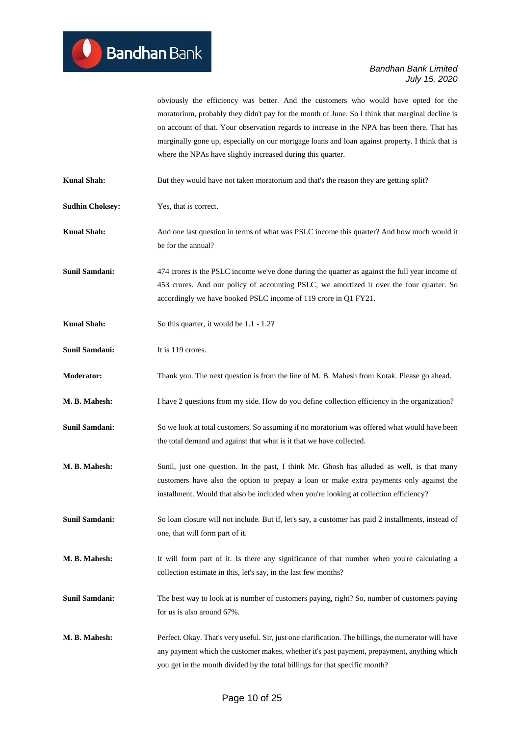obviously the efficiency was better. And the customers who would have opted for the moratorium, probably they didn't pay for the month of June. So I think that marginal decline is on account of that. Your observation regards to increase in the NPA has been there. That has marginally gone up, especially on our mortgage loans and loan against property. I think that is where the NPAs have slightly increased during this quarter.

- **Kunal Shah:** But they would have not taken moratorium and that's the reason they are getting split?
- **Sudhin Choksey:** Yes, that is correct.

**Kunal Shah:** And one last question in terms of what was PSLC income this quarter? And how much would it be for the annual?

**Sunil Samdani:** 474 crores is the PSLC income we've done during the quarter as against the full year income of 453 crores. And our policy of accounting PSLC, we amortized it over the four quarter. So accordingly we have booked PSLC income of 119 crore in Q1 FY21.

- **Kunal Shah:** So this quarter, it would be 1.1 1.2?
- **Sunil Samdani:** It is 119 crores.

**Moderator:** Thank you. The next question is from the line of M. B. Mahesh from Kotak. Please go ahead.

**M. B. Mahesh:** I have 2 questions from my side. How do you define collection efficiency in the organization?

**Sunil Samdani:** So we look at total customers. So assuming if no moratorium was offered what would have been the total demand and against that what is it that we have collected.

**M. B. Mahesh:** Sunil, just one question. In the past, I think Mr. Ghosh has alluded as well, is that many customers have also the option to prepay a loan or make extra payments only against the installment. Would that also be included when you're looking at collection efficiency?

**Sunil Samdani:** So loan closure will not include. But if, let's say, a customer has paid 2 installments, instead of one, that will form part of it.

**M. B. Mahesh:** It will form part of it. Is there any significance of that number when you're calculating a collection estimate in this, let's say, in the last few months?

**Sunil Samdani:** The best way to look at is number of customers paying, right? So, number of customers paying for us is also around 67%.

**M. B. Mahesh:** Perfect. Okay. That's very useful. Sir, just one clarification. The billings, the numerator will have any payment which the customer makes, whether it's past payment, prepayment, anything which you get in the month divided by the total billings for that specific month?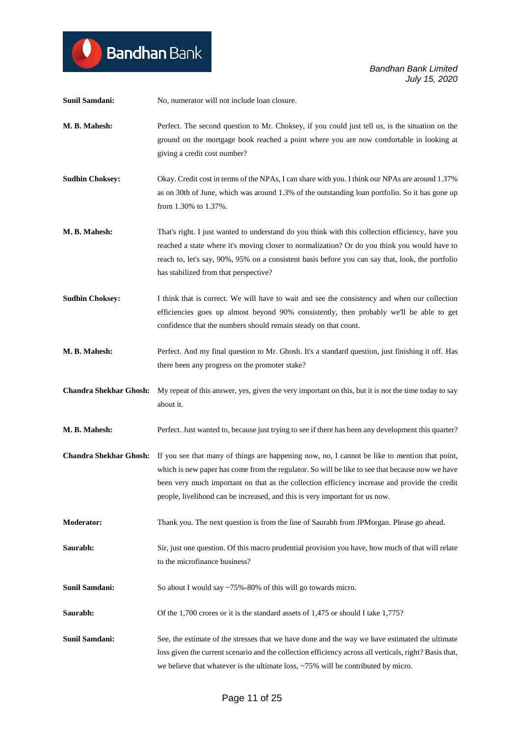## Bandhan Bank  $\bf{O}$

*Bandhan Bank Limited July 15, 2020*

| <b>Sunil Samdani:</b>         | No, numerator will not include loan closure.                                                                                                                                                                                                                                                                                                                                                            |
|-------------------------------|---------------------------------------------------------------------------------------------------------------------------------------------------------------------------------------------------------------------------------------------------------------------------------------------------------------------------------------------------------------------------------------------------------|
| M. B. Mahesh:                 | Perfect. The second question to Mr. Choksey, if you could just tell us, is the situation on the<br>ground on the mortgage book reached a point where you are now comfortable in looking at<br>giving a credit cost number?                                                                                                                                                                              |
| <b>Sudhin Choksey:</b>        | Okay. Credit cost in terms of the NPAs, I can share with you. I think our NPAs are around 1.37%<br>as on 30th of June, which was around 1.3% of the outstanding loan portfolio. So it has gone up<br>from 1.30% to 1.37%.                                                                                                                                                                               |
| M. B. Mahesh:                 | That's right. I just wanted to understand do you think with this collection efficiency, have you<br>reached a state where it's moving closer to normalization? Or do you think you would have to<br>reach to, let's say, 90%, 95% on a consistent basis before you can say that, look, the portfolio<br>has stabilized from that perspective?                                                           |
| <b>Sudhin Choksey:</b>        | I think that is correct. We will have to wait and see the consistency and when our collection<br>efficiencies goes up almost beyond 90% consistently, then probably we'll be able to get<br>confidence that the numbers should remain steady on that count.                                                                                                                                             |
| M. B. Mahesh:                 | Perfect. And my final question to Mr. Ghosh. It's a standard question, just finishing it off. Has<br>there been any progress on the promoter stake?                                                                                                                                                                                                                                                     |
| <b>Chandra Shekhar Ghosh:</b> | My repeat of this answer, yes, given the very important on this, but it is not the time today to say<br>about it.                                                                                                                                                                                                                                                                                       |
| M. B. Mahesh:                 | Perfect. Just wanted to, because just trying to see if there has been any development this quarter?                                                                                                                                                                                                                                                                                                     |
|                               | Chandra Shekhar Ghosh: If you see that many of things are happening now, no, I cannot be like to mention that point,<br>which is new paper has come from the regulator. So will be like to see that because now we have<br>been very much important on that as the collection efficiency increase and provide the credit<br>people, livelihood can be increased, and this is very important for us now. |
| <b>Moderator:</b>             | Thank you. The next question is from the line of Saurabh from JPMorgan. Please go ahead.                                                                                                                                                                                                                                                                                                                |
| Saurabh:                      | Sir, just one question. Of this macro prudential provision you have, how much of that will relate<br>to the microfinance business?                                                                                                                                                                                                                                                                      |
| <b>Sunil Samdani:</b>         | So about I would say $\sim$ 75%-80% of this will go towards micro.                                                                                                                                                                                                                                                                                                                                      |
| Saurabh:                      | Of the 1,700 crores or it is the standard assets of 1,475 or should I take 1,775?                                                                                                                                                                                                                                                                                                                       |
| <b>Sunil Samdani:</b>         | See, the estimate of the stresses that we have done and the way we have estimated the ultimate<br>loss given the current scenario and the collection efficiency across all verticals, right? Basis that,<br>we believe that whatever is the ultimate loss, $\sim$ 75% will be contributed by micro.                                                                                                     |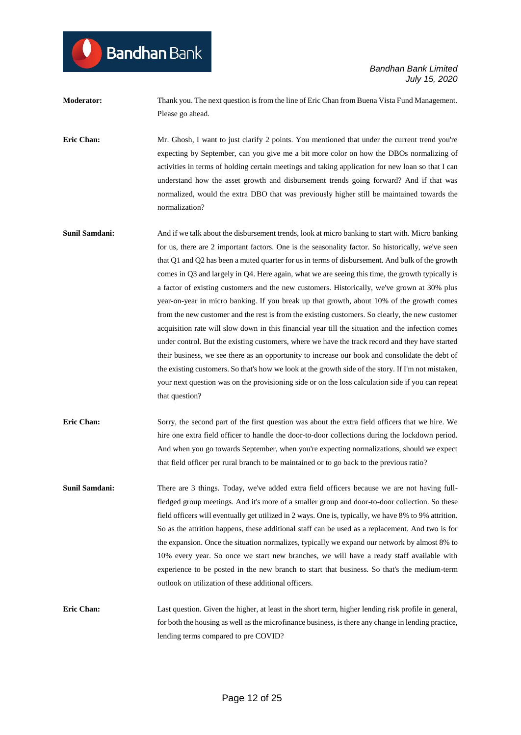**Moderator:** Thank you. The next question is from the line of Eric Chan from Buena Vista Fund Management. Please go ahead.

**Eric Chan:** Mr. Ghosh, I want to just clarify 2 points. You mentioned that under the current trend you're expecting by September, can you give me a bit more color on how the DBOs normalizing of activities in terms of holding certain meetings and taking application for new loan so that I can understand how the asset growth and disbursement trends going forward? And if that was normalized, would the extra DBO that was previously higher still be maintained towards the normalization?

- **Sunil Samdani:** And if we talk about the disbursement trends, look at micro banking to start with. Micro banking for us, there are 2 important factors. One is the seasonality factor. So historically, we've seen that Q1 and Q2 has been a muted quarter for us in terms of disbursement. And bulk of the growth comes in Q3 and largely in Q4. Here again, what we are seeing this time, the growth typically is a factor of existing customers and the new customers. Historically, we've grown at 30% plus year-on-year in micro banking. If you break up that growth, about 10% of the growth comes from the new customer and the rest is from the existing customers. So clearly, the new customer acquisition rate will slow down in this financial year till the situation and the infection comes under control. But the existing customers, where we have the track record and they have started their business, we see there as an opportunity to increase our book and consolidate the debt of the existing customers. So that's how we look at the growth side of the story. If I'm not mistaken, your next question was on the provisioning side or on the loss calculation side if you can repeat that question?
- **Eric Chan:** Sorry, the second part of the first question was about the extra field officers that we hire. We hire one extra field officer to handle the door-to-door collections during the lockdown period. And when you go towards September, when you're expecting normalizations, should we expect that field officer per rural branch to be maintained or to go back to the previous ratio?
- **Sunil Samdani:** There are 3 things. Today, we've added extra field officers because we are not having fullfledged group meetings. And it's more of a smaller group and door-to-door collection. So these field officers will eventually get utilized in 2 ways. One is, typically, we have 8% to 9% attrition. So as the attrition happens, these additional staff can be used as a replacement. And two is for the expansion. Once the situation normalizes, typically we expand our network by almost 8% to 10% every year. So once we start new branches, we will have a ready staff available with experience to be posted in the new branch to start that business. So that's the medium-term outlook on utilization of these additional officers.
- **Eric Chan:** Last question. Given the higher, at least in the short term, higher lending risk profile in general, for both the housing as well as the microfinance business, is there any change in lending practice, lending terms compared to pre COVID?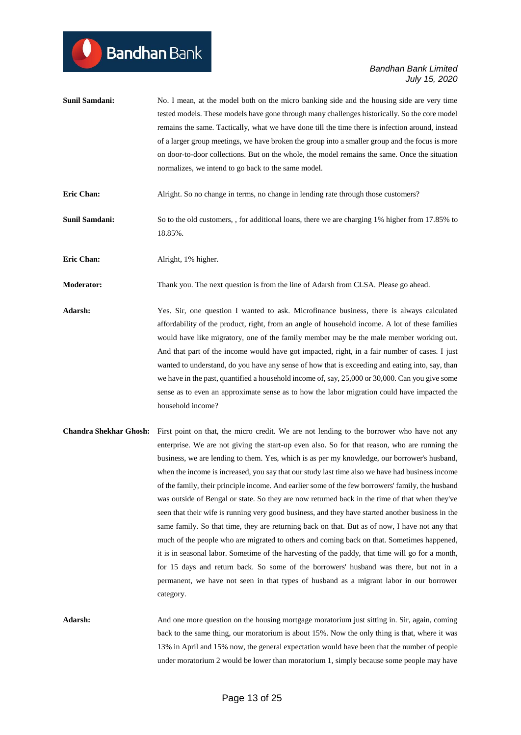| <b>Sunil Samdani:</b> | No. I mean, at the model both on the micro banking side and the housing side are very time<br>tested models. These models have gone through many challenges historically. So the core model<br>remains the same. Tactically, what we have done till the time there is infection around, instead<br>of a larger group meetings, we have broken the group into a smaller group and the focus is more<br>on door-to-door collections. But on the whole, the model remains the same. Once the situation<br>normalizes, we intend to go back to the same model.                                                                                                                                                                                                                                                                                                                                                                                                                                                                                                                                                                                                                                                                              |
|-----------------------|-----------------------------------------------------------------------------------------------------------------------------------------------------------------------------------------------------------------------------------------------------------------------------------------------------------------------------------------------------------------------------------------------------------------------------------------------------------------------------------------------------------------------------------------------------------------------------------------------------------------------------------------------------------------------------------------------------------------------------------------------------------------------------------------------------------------------------------------------------------------------------------------------------------------------------------------------------------------------------------------------------------------------------------------------------------------------------------------------------------------------------------------------------------------------------------------------------------------------------------------|
| Eric Chan:            | Alright. So no change in terms, no change in lending rate through those customers?                                                                                                                                                                                                                                                                                                                                                                                                                                                                                                                                                                                                                                                                                                                                                                                                                                                                                                                                                                                                                                                                                                                                                      |
| <b>Sunil Samdani:</b> | So to the old customers, , for additional loans, there we are charging 1% higher from 17.85% to<br>18.85%.                                                                                                                                                                                                                                                                                                                                                                                                                                                                                                                                                                                                                                                                                                                                                                                                                                                                                                                                                                                                                                                                                                                              |
| <b>Eric Chan:</b>     | Alright, 1% higher.                                                                                                                                                                                                                                                                                                                                                                                                                                                                                                                                                                                                                                                                                                                                                                                                                                                                                                                                                                                                                                                                                                                                                                                                                     |
| <b>Moderator:</b>     | Thank you. The next question is from the line of Adarsh from CLSA. Please go ahead.                                                                                                                                                                                                                                                                                                                                                                                                                                                                                                                                                                                                                                                                                                                                                                                                                                                                                                                                                                                                                                                                                                                                                     |
| Adarsh:               | Yes. Sir, one question I wanted to ask. Microfinance business, there is always calculated<br>affordability of the product, right, from an angle of household income. A lot of these families<br>would have like migratory, one of the family member may be the male member working out.<br>And that part of the income would have got impacted, right, in a fair number of cases. I just<br>wanted to understand, do you have any sense of how that is exceeding and eating into, say, than<br>we have in the past, quantified a household income of, say, 25,000 or 30,000. Can you give some<br>sense as to even an approximate sense as to how the labor migration could have impacted the<br>household income?                                                                                                                                                                                                                                                                                                                                                                                                                                                                                                                      |
|                       | Chandra Shekhar Ghosh: First point on that, the micro credit. We are not lending to the borrower who have not any<br>enterprise. We are not giving the start-up even also. So for that reason, who are running the<br>business, we are lending to them. Yes, which is as per my knowledge, our borrower's husband,<br>when the income is increased, you say that our study last time also we have had business income<br>of the family, their principle income. And earlier some of the few borrowers' family, the husband<br>was outside of Bengal or state. So they are now returned back in the time of that when they've<br>seen that their wife is running very good business, and they have started another business in the<br>same family. So that time, they are returning back on that. But as of now, I have not any that<br>much of the people who are migrated to others and coming back on that. Sometimes happened,<br>it is in seasonal labor. Sometime of the harvesting of the paddy, that time will go for a month,<br>for 15 days and return back. So some of the borrowers' husband was there, but not in a<br>permanent, we have not seen in that types of husband as a migrant labor in our borrower<br>category. |
|                       |                                                                                                                                                                                                                                                                                                                                                                                                                                                                                                                                                                                                                                                                                                                                                                                                                                                                                                                                                                                                                                                                                                                                                                                                                                         |

Adarsh: And one more question on the housing mortgage moratorium just sitting in. Sir, again, coming back to the same thing, our moratorium is about 15%. Now the only thing is that, where it was 13% in April and 15% now, the general expectation would have been that the number of people under moratorium 2 would be lower than moratorium 1, simply because some people may have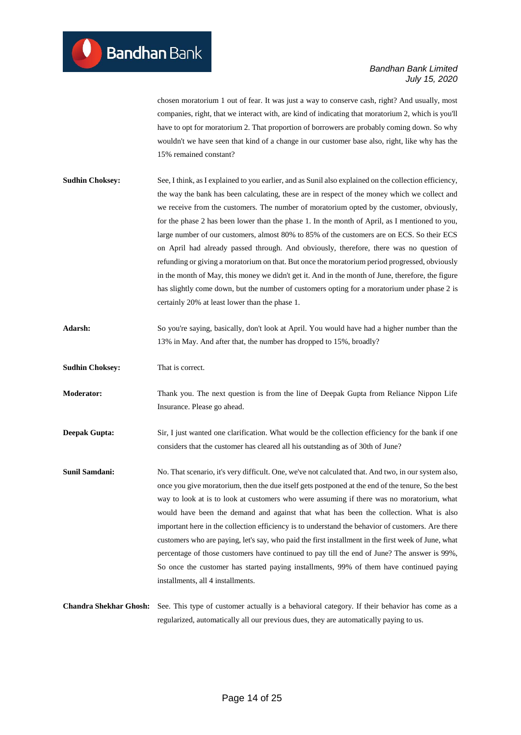chosen moratorium 1 out of fear. It was just a way to conserve cash, right? And usually, most companies, right, that we interact with, are kind of indicating that moratorium 2, which is you'll have to opt for moratorium 2. That proportion of borrowers are probably coming down. So why wouldn't we have seen that kind of a change in our customer base also, right, like why has the 15% remained constant?

- **Sudhin Choksey:** See, I think, as I explained to you earlier, and as Sunil also explained on the collection efficiency, the way the bank has been calculating, these are in respect of the money which we collect and we receive from the customers. The number of moratorium opted by the customer, obviously, for the phase 2 has been lower than the phase 1. In the month of April, as I mentioned to you, large number of our customers, almost 80% to 85% of the customers are on ECS. So their ECS on April had already passed through. And obviously, therefore, there was no question of refunding or giving a moratorium on that. But once the moratorium period progressed, obviously in the month of May, this money we didn't get it. And in the month of June, therefore, the figure has slightly come down, but the number of customers opting for a moratorium under phase 2 is certainly 20% at least lower than the phase 1.
- **Adarsh:** So you're saying, basically, don't look at April. You would have had a higher number than the 13% in May. And after that, the number has dropped to 15%, broadly?
- **Sudhin Choksey:** That is correct.

**Moderator:** Thank you. The next question is from the line of Deepak Gupta from Reliance Nippon Life Insurance. Please go ahead.

**Deepak Gupta:** Sir, I just wanted one clarification. What would be the collection efficiency for the bank if one considers that the customer has cleared all his outstanding as of 30th of June?

**Sunil Samdani:** No. That scenario, it's very difficult. One, we've not calculated that. And two, in our system also, once you give moratorium, then the due itself gets postponed at the end of the tenure, So the best way to look at is to look at customers who were assuming if there was no moratorium, what would have been the demand and against that what has been the collection. What is also important here in the collection efficiency is to understand the behavior of customers. Are there customers who are paying, let's say, who paid the first installment in the first week of June, what percentage of those customers have continued to pay till the end of June? The answer is 99%, So once the customer has started paying installments, 99% of them have continued paying installments, all 4 installments.

**Chandra Shekhar Ghosh:** See. This type of customer actually is a behavioral category. If their behavior has come as a regularized, automatically all our previous dues, they are automatically paying to us.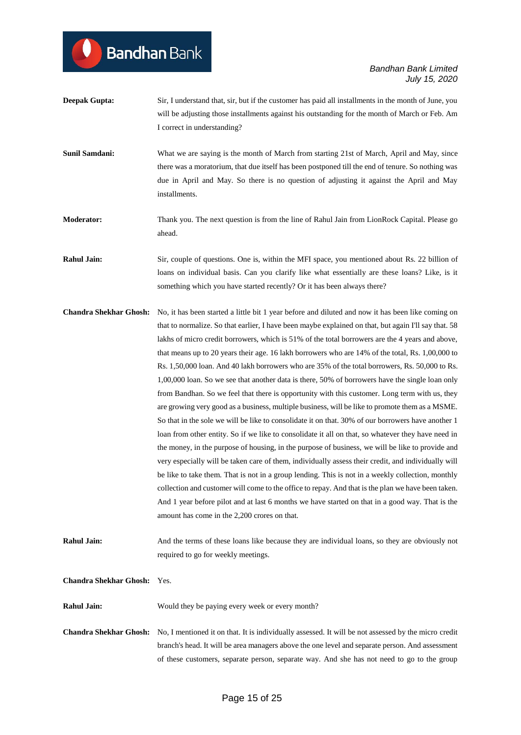**Deepak Gupta:** Sir, I understand that, sir, but if the customer has paid all installments in the month of June, you will be adjusting those installments against his outstanding for the month of March or Feb. Am I correct in understanding?

**Bandhan** Bank

- **Sunil Samdani:** What we are saying is the month of March from starting 21st of March, April and May, since there was a moratorium, that due itself has been postponed till the end of tenure. So nothing was due in April and May. So there is no question of adjusting it against the April and May installments.
- **Moderator:** Thank you. The next question is from the line of Rahul Jain from LionRock Capital. Please go ahead.
- **Rahul Jain:** Sir, couple of questions. One is, within the MFI space, you mentioned about Rs. 22 billion of loans on individual basis. Can you clarify like what essentially are these loans? Like, is it something which you have started recently? Or it has been always there?
- **Chandra Shekhar Ghosh:** No, it has been started a little bit 1 year before and diluted and now it has been like coming on that to normalize. So that earlier, I have been maybe explained on that, but again I'll say that. 58 lakhs of micro credit borrowers, which is 51% of the total borrowers are the 4 years and above, that means up to 20 years their age. 16 lakh borrowers who are 14% of the total, Rs. 1,00,000 to Rs. 1,50,000 loan. And 40 lakh borrowers who are 35% of the total borrowers, Rs. 50,000 to Rs. 1,00,000 loan. So we see that another data is there, 50% of borrowers have the single loan only from Bandhan. So we feel that there is opportunity with this customer. Long term with us, they are growing very good as a business, multiple business, will be like to promote them as a MSME. So that in the sole we will be like to consolidate it on that. 30% of our borrowers have another 1 loan from other entity. So if we like to consolidate it all on that, so whatever they have need in the money, in the purpose of housing, in the purpose of business, we will be like to provide and very especially will be taken care of them, individually assess their credit, and individually will be like to take them. That is not in a group lending. This is not in a weekly collection, monthly collection and customer will come to the office to repay. And that is the plan we have been taken. And 1 year before pilot and at last 6 months we have started on that in a good way. That is the amount has come in the 2,200 crores on that.
- **Rahul Jain:** And the terms of these loans like because they are individual loans, so they are obviously not required to go for weekly meetings.
- **Chandra Shekhar Ghosh:** Yes.
- **Rahul Jain:** Would they be paying every week or every month?
- **Chandra Shekhar Ghosh:** No, I mentioned it on that. It is individually assessed. It will be not assessed by the micro credit branch's head. It will be area managers above the one level and separate person. And assessment of these customers, separate person, separate way. And she has not need to go to the group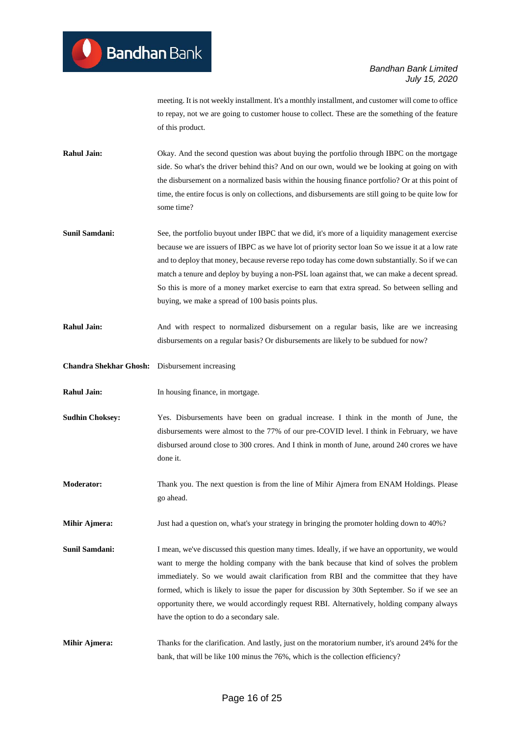meeting. It is not weekly installment. It's a monthly installment, and customer will come to office to repay, not we are going to customer house to collect. These are the something of the feature of this product.

**Rahul Jain:** Okay. And the second question was about buying the portfolio through IBPC on the mortgage side. So what's the driver behind this? And on our own, would we be looking at going on with the disbursement on a normalized basis within the housing finance portfolio? Or at this point of time, the entire focus is only on collections, and disbursements are still going to be quite low for some time?

- **Sunil Samdani:** See, the portfolio buyout under IBPC that we did, it's more of a liquidity management exercise because we are issuers of IBPC as we have lot of priority sector loan So we issue it at a low rate and to deploy that money, because reverse repo today has come down substantially. So if we can match a tenure and deploy by buying a non-PSL loan against that, we can make a decent spread. So this is more of a money market exercise to earn that extra spread. So between selling and buying, we make a spread of 100 basis points plus.
- **Rahul Jain:** And with respect to normalized disbursement on a regular basis, like are we increasing disbursements on a regular basis? Or disbursements are likely to be subdued for now?
- **Chandra Shekhar Ghosh:** Disbursement increasing
- **Rahul Jain:** In housing finance, in mortgage.
- **Sudhin Choksey:** Yes. Disbursements have been on gradual increase. I think in the month of June, the disbursements were almost to the 77% of our pre-COVID level. I think in February, we have disbursed around close to 300 crores. And I think in month of June, around 240 crores we have done it.
- **Moderator:** Thank you. The next question is from the line of Mihir Ajmera from ENAM Holdings. Please go ahead.
- **Mihir Ajmera:** Just had a question on, what's your strategy in bringing the promoter holding down to 40%?
- **Sunil Samdani:** I mean, we've discussed this question many times. Ideally, if we have an opportunity, we would want to merge the holding company with the bank because that kind of solves the problem immediately. So we would await clarification from RBI and the committee that they have formed, which is likely to issue the paper for discussion by 30th September. So if we see an opportunity there, we would accordingly request RBI. Alternatively, holding company always have the option to do a secondary sale.
- **Mihir Ajmera:** Thanks for the clarification. And lastly, just on the moratorium number, it's around 24% for the bank, that will be like 100 minus the 76%, which is the collection efficiency?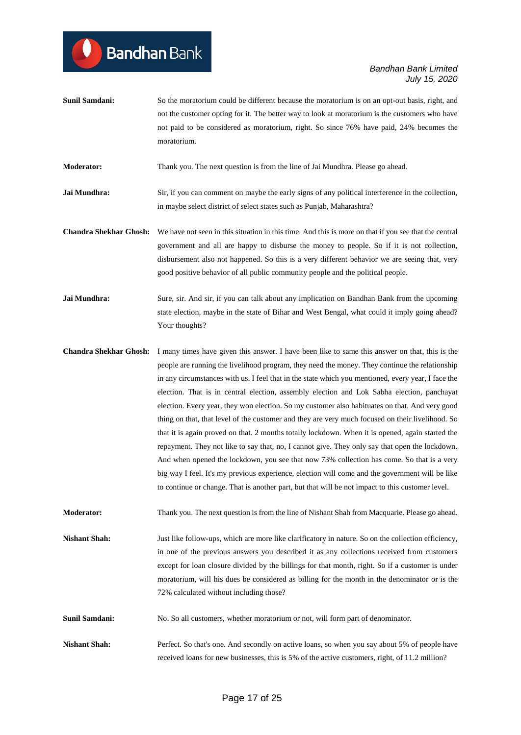**Sunil Samdani:** So the moratorium could be different because the moratorium is on an opt-out basis, right, and not the customer opting for it. The better way to look at moratorium is the customers who have not paid to be considered as moratorium, right. So since 76% have paid, 24% becomes the moratorium.

**Moderator:** Thank you. The next question is from the line of Jai Mundhra. Please go ahead.

**Bandhan** Bank

**Jai Mundhra:** Sir, if you can comment on maybe the early signs of any political interference in the collection, in maybe select district of select states such as Punjab, Maharashtra?

**Chandra Shekhar Ghosh:** We have not seen in this situation in this time. And this is more on that if you see that the central government and all are happy to disburse the money to people. So if it is not collection, disbursement also not happened. So this is a very different behavior we are seeing that, very good positive behavior of all public community people and the political people.

**Jai Mundhra:** Sure, sir. And sir, if you can talk about any implication on Bandhan Bank from the upcoming state election, maybe in the state of Bihar and West Bengal, what could it imply going ahead? Your thoughts?

**Chandra Shekhar Ghosh:** I many times have given this answer. I have been like to same this answer on that, this is the people are running the livelihood program, they need the money. They continue the relationship in any circumstances with us. I feel that in the state which you mentioned, every year, I face the election. That is in central election, assembly election and Lok Sabha election, panchayat election. Every year, they won election. So my customer also habituates on that. And very good thing on that, that level of the customer and they are very much focused on their livelihood. So that it is again proved on that. 2 months totally lockdown. When it is opened, again started the repayment. They not like to say that, no, I cannot give. They only say that open the lockdown. And when opened the lockdown, you see that now 73% collection has come. So that is a very big way I feel. It's my previous experience, election will come and the government will be like to continue or change. That is another part, but that will be not impact to this customer level.

**Moderator:** Thank you. The next question is from the line of Nishant Shah from Macquarie. Please go ahead.

Nishant Shah: Just like follow-ups, which are more like clarificatory in nature. So on the collection efficiency, in one of the previous answers you described it as any collections received from customers except for loan closure divided by the billings for that month, right. So if a customer is under moratorium, will his dues be considered as billing for the month in the denominator or is the 72% calculated without including those?

- **Sunil Samdani:** No. So all customers, whether moratorium or not, will form part of denominator.
- **Nishant Shah:** Perfect. So that's one. And secondly on active loans, so when you say about 5% of people have received loans for new businesses, this is 5% of the active customers, right, of 11.2 million?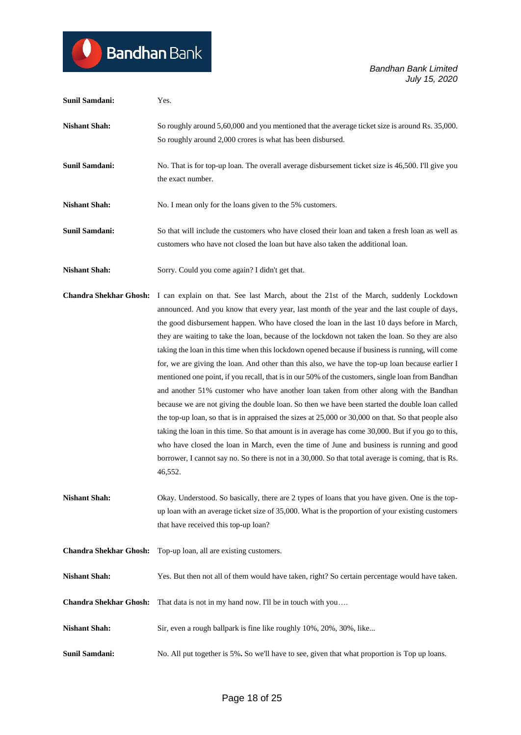| Sunil Samdani:                | Yes.                                                                                                                                                                                                                                                                                                                                                                                                                                                                                                                                                                                                                                                                                                                                                                                                                                                                                                                                                                                                                                                                                                                                                                                                                                                                                                                          |
|-------------------------------|-------------------------------------------------------------------------------------------------------------------------------------------------------------------------------------------------------------------------------------------------------------------------------------------------------------------------------------------------------------------------------------------------------------------------------------------------------------------------------------------------------------------------------------------------------------------------------------------------------------------------------------------------------------------------------------------------------------------------------------------------------------------------------------------------------------------------------------------------------------------------------------------------------------------------------------------------------------------------------------------------------------------------------------------------------------------------------------------------------------------------------------------------------------------------------------------------------------------------------------------------------------------------------------------------------------------------------|
| <b>Nishant Shah:</b>          | So roughly around 5,60,000 and you mentioned that the average ticket size is around Rs. 35,000.<br>So roughly around 2,000 crores is what has been disbursed.                                                                                                                                                                                                                                                                                                                                                                                                                                                                                                                                                                                                                                                                                                                                                                                                                                                                                                                                                                                                                                                                                                                                                                 |
| <b>Sunil Samdani:</b>         | No. That is for top-up loan. The overall average disbursement ticket size is 46,500. I'll give you<br>the exact number.                                                                                                                                                                                                                                                                                                                                                                                                                                                                                                                                                                                                                                                                                                                                                                                                                                                                                                                                                                                                                                                                                                                                                                                                       |
| <b>Nishant Shah:</b>          | No. I mean only for the loans given to the 5% customers.                                                                                                                                                                                                                                                                                                                                                                                                                                                                                                                                                                                                                                                                                                                                                                                                                                                                                                                                                                                                                                                                                                                                                                                                                                                                      |
| <b>Sunil Samdani:</b>         | So that will include the customers who have closed their loan and taken a fresh loan as well as<br>customers who have not closed the loan but have also taken the additional loan.                                                                                                                                                                                                                                                                                                                                                                                                                                                                                                                                                                                                                                                                                                                                                                                                                                                                                                                                                                                                                                                                                                                                            |
| <b>Nishant Shah:</b>          | Sorry. Could you come again? I didn't get that.                                                                                                                                                                                                                                                                                                                                                                                                                                                                                                                                                                                                                                                                                                                                                                                                                                                                                                                                                                                                                                                                                                                                                                                                                                                                               |
| <b>Chandra Shekhar Ghosh:</b> | I can explain on that. See last March, about the 21st of the March, suddenly Lockdown<br>announced. And you know that every year, last month of the year and the last couple of days,<br>the good disbursement happen. Who have closed the loan in the last 10 days before in March,<br>they are waiting to take the loan, because of the lockdown not taken the loan. So they are also<br>taking the loan in this time when this lockdown opened because if business is running, will come<br>for, we are giving the loan. And other than this also, we have the top-up loan because earlier I<br>mentioned one point, if you recall, that is in our 50% of the customers, single loan from Bandhan<br>and another 51% customer who have another loan taken from other along with the Bandhan<br>because we are not giving the double loan. So then we have been started the double loan called<br>the top-up loan, so that is in appraised the sizes at 25,000 or 30,000 on that. So that people also<br>taking the loan in this time. So that amount is in average has come 30,000. But if you go to this,<br>who have closed the loan in March, even the time of June and business is running and good<br>borrower, I cannot say no. So there is not in a 30,000. So that total average is coming, that is Rs.<br>46,552. |
| <b>Nishant Shah:</b>          | Okay. Understood. So basically, there are 2 types of loans that you have given. One is the top-<br>up loan with an average ticket size of 35,000. What is the proportion of your existing customers<br>that have received this top-up loan?                                                                                                                                                                                                                                                                                                                                                                                                                                                                                                                                                                                                                                                                                                                                                                                                                                                                                                                                                                                                                                                                                   |
|                               | <b>Chandra Shekhar Ghosh:</b> Top-up loan, all are existing customers.                                                                                                                                                                                                                                                                                                                                                                                                                                                                                                                                                                                                                                                                                                                                                                                                                                                                                                                                                                                                                                                                                                                                                                                                                                                        |
| <b>Nishant Shah:</b>          | Yes. But then not all of them would have taken, right? So certain percentage would have taken.                                                                                                                                                                                                                                                                                                                                                                                                                                                                                                                                                                                                                                                                                                                                                                                                                                                                                                                                                                                                                                                                                                                                                                                                                                |
| <b>Chandra Shekhar Ghosh:</b> | That data is not in my hand now. I'll be in touch with you                                                                                                                                                                                                                                                                                                                                                                                                                                                                                                                                                                                                                                                                                                                                                                                                                                                                                                                                                                                                                                                                                                                                                                                                                                                                    |
| <b>Nishant Shah:</b>          | Sir, even a rough ballpark is fine like roughly 10%, 20%, 30%, like                                                                                                                                                                                                                                                                                                                                                                                                                                                                                                                                                                                                                                                                                                                                                                                                                                                                                                                                                                                                                                                                                                                                                                                                                                                           |
| Sunil Samdani:                | No. All put together is 5%. So we'll have to see, given that what proportion is Top up loans.                                                                                                                                                                                                                                                                                                                                                                                                                                                                                                                                                                                                                                                                                                                                                                                                                                                                                                                                                                                                                                                                                                                                                                                                                                 |

**Bandhan** Bank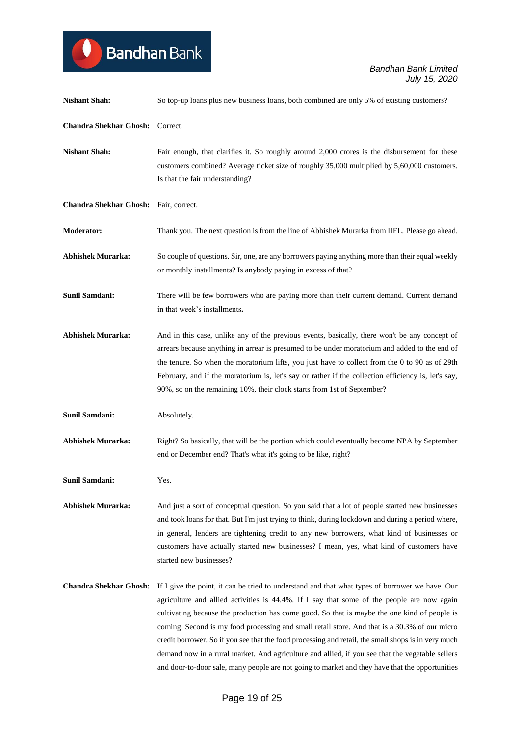| <b>Nishant Shah:</b>                  | So top-up loans plus new business loans, both combined are only 5% of existing customers?                                                                                                                                                                                                                                                                                                                                                                                                                                                                                                                                                                                                                   |
|---------------------------------------|-------------------------------------------------------------------------------------------------------------------------------------------------------------------------------------------------------------------------------------------------------------------------------------------------------------------------------------------------------------------------------------------------------------------------------------------------------------------------------------------------------------------------------------------------------------------------------------------------------------------------------------------------------------------------------------------------------------|
| Chandra Shekhar Ghosh: Correct.       |                                                                                                                                                                                                                                                                                                                                                                                                                                                                                                                                                                                                                                                                                                             |
| <b>Nishant Shah:</b>                  | Fair enough, that clarifies it. So roughly around 2,000 crores is the disbursement for these<br>customers combined? Average ticket size of roughly 35,000 multiplied by 5,60,000 customers.<br>Is that the fair understanding?                                                                                                                                                                                                                                                                                                                                                                                                                                                                              |
| Chandra Shekhar Ghosh: Fair, correct. |                                                                                                                                                                                                                                                                                                                                                                                                                                                                                                                                                                                                                                                                                                             |
| <b>Moderator:</b>                     | Thank you. The next question is from the line of Abhishek Murarka from IIFL. Please go ahead.                                                                                                                                                                                                                                                                                                                                                                                                                                                                                                                                                                                                               |
| <b>Abhishek Murarka:</b>              | So couple of questions. Sir, one, are any borrowers paying anything more than their equal weekly<br>or monthly installments? Is anybody paying in excess of that?                                                                                                                                                                                                                                                                                                                                                                                                                                                                                                                                           |
| <b>Sunil Samdani:</b>                 | There will be few borrowers who are paying more than their current demand. Current demand<br>in that week's installments.                                                                                                                                                                                                                                                                                                                                                                                                                                                                                                                                                                                   |
| <b>Abhishek Murarka:</b>              | And in this case, unlike any of the previous events, basically, there won't be any concept of<br>arrears because anything in arrear is presumed to be under moratorium and added to the end of<br>the tenure. So when the moratorium lifts, you just have to collect from the 0 to 90 as of 29th<br>February, and if the moratorium is, let's say or rather if the collection efficiency is, let's say,<br>90%, so on the remaining 10%, their clock starts from 1st of September?                                                                                                                                                                                                                          |
| <b>Sunil Samdani:</b>                 | Absolutely.                                                                                                                                                                                                                                                                                                                                                                                                                                                                                                                                                                                                                                                                                                 |
| <b>Abhishek Murarka:</b>              | Right? So basically, that will be the portion which could eventually become NPA by September<br>end or December end? That's what it's going to be like, right?                                                                                                                                                                                                                                                                                                                                                                                                                                                                                                                                              |
| <b>Sunil Samdani:</b>                 | Yes.                                                                                                                                                                                                                                                                                                                                                                                                                                                                                                                                                                                                                                                                                                        |
| <b>Abhishek Murarka:</b>              | And just a sort of conceptual question. So you said that a lot of people started new businesses<br>and took loans for that. But I'm just trying to think, during lockdown and during a period where,<br>in general, lenders are tightening credit to any new borrowers, what kind of businesses or<br>customers have actually started new businesses? I mean, yes, what kind of customers have<br>started new businesses?                                                                                                                                                                                                                                                                                   |
| <b>Chandra Shekhar Ghosh:</b>         | If I give the point, it can be tried to understand and that what types of borrower we have. Our<br>agriculture and allied activities is 44.4%. If I say that some of the people are now again<br>cultivating because the production has come good. So that is maybe the one kind of people is<br>coming. Second is my food processing and small retail store. And that is a 30.3% of our micro<br>credit borrower. So if you see that the food processing and retail, the small shops is in very much<br>demand now in a rural market. And agriculture and allied, if you see that the vegetable sellers<br>and door-to-door sale, many people are not going to market and they have that the opportunities |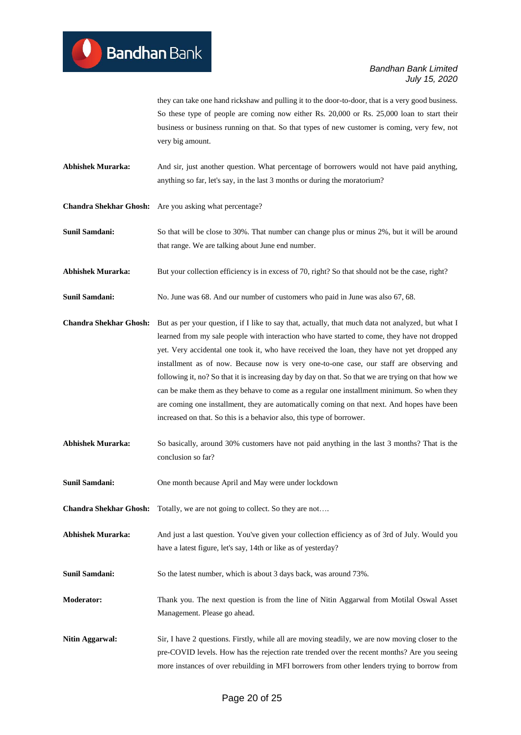they can take one hand rickshaw and pulling it to the door-to-door, that is a very good business. So these type of people are coming now either Rs. 20,000 or Rs. 25,000 loan to start their business or business running on that. So that types of new customer is coming, very few, not very big amount.

**Abhishek Murarka:** And sir, just another question. What percentage of borrowers would not have paid anything, anything so far, let's say, in the last 3 months or during the moratorium?

**Chandra Shekhar Ghosh:** Are you asking what percentage?

**Sunil Samdani:** So that will be close to 30%. That number can change plus or minus 2%, but it will be around that range. We are talking about June end number.

Abhishek Murarka: But your collection efficiency is in excess of 70, right? So that should not be the case, right?

**Sunil Samdani:** No. June was 68. And our number of customers who paid in June was also 67, 68.

**Chandra Shekhar Ghosh:** But as per your question, if I like to say that, actually, that much data not analyzed, but what I learned from my sale people with interaction who have started to come, they have not dropped yet. Very accidental one took it, who have received the loan, they have not yet dropped any installment as of now. Because now is very one-to-one case, our staff are observing and following it, no? So that it is increasing day by day on that. So that we are trying on that how we can be make them as they behave to come as a regular one installment minimum. So when they are coming one installment, they are automatically coming on that next. And hopes have been increased on that. So this is a behavior also, this type of borrower.

- **Abhishek Murarka:** So basically, around 30% customers have not paid anything in the last 3 months? That is the conclusion so far?
- **Sunil Samdani:** One month because April and May were under lockdown

**Chandra Shekhar Ghosh:** Totally, we are not going to collect. So they are not….

**Abhishek Murarka:** And just a last question. You've given your collection efficiency as of 3rd of July. Would you have a latest figure, let's say, 14th or like as of yesterday?

**Sunil Samdani:** So the latest number, which is about 3 days back, was around 73%.

**Moderator:** Thank you. The next question is from the line of Nitin Aggarwal from Motilal Oswal Asset Management. Please go ahead.

**Nitin Aggarwal:** Sir, I have 2 questions. Firstly, while all are moving steadily, we are now moving closer to the pre-COVID levels. How has the rejection rate trended over the recent months? Are you seeing more instances of over rebuilding in MFI borrowers from other lenders trying to borrow from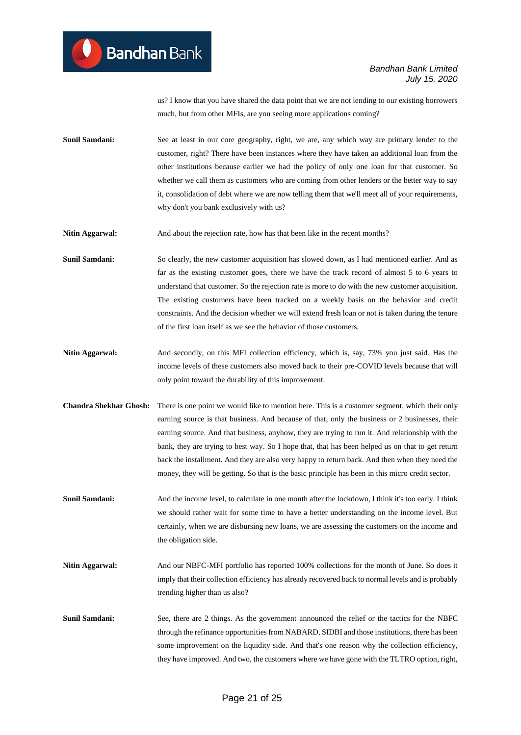us? I know that you have shared the data point that we are not lending to our existing borrowers much, but from other MFIs, are you seeing more applications coming?

- **Sunil Samdani:** See at least in our core geography, right, we are, any which way are primary lender to the customer, right? There have been instances where they have taken an additional loan from the other institutions because earlier we had the policy of only one loan for that customer. So whether we call them as customers who are coming from other lenders or the better way to say it, consolidation of debt where we are now telling them that we'll meet all of your requirements, why don't you bank exclusively with us?
- **Nitin Aggarwal:** And about the rejection rate, how has that been like in the recent months?
- **Sunil Samdani:** So clearly, the new customer acquisition has slowed down, as I had mentioned earlier. And as far as the existing customer goes, there we have the track record of almost 5 to 6 years to understand that customer. So the rejection rate is more to do with the new customer acquisition. The existing customers have been tracked on a weekly basis on the behavior and credit constraints. And the decision whether we will extend fresh loan or not is taken during the tenure of the first loan itself as we see the behavior of those customers.
- **Nitin Aggarwal:** And secondly, on this MFI collection efficiency, which is, say, 73% you just said. Has the income levels of these customers also moved back to their pre-COVID levels because that will only point toward the durability of this improvement.
- **Chandra Shekhar Ghosh:** There is one point we would like to mention here. This is a customer segment, which their only earning source is that business. And because of that, only the business or 2 businesses, their earning source. And that business, anyhow, they are trying to run it. And relationship with the bank, they are trying to best way. So I hope that, that has been helped us on that to get return back the installment. And they are also very happy to return back. And then when they need the money, they will be getting. So that is the basic principle has been in this micro credit sector.
- **Sunil Samdani:** And the income level, to calculate in one month after the lockdown, I think it's too early. I think we should rather wait for some time to have a better understanding on the income level. But certainly, when we are disbursing new loans, we are assessing the customers on the income and the obligation side.
- **Nitin Aggarwal:** And our NBFC-MFI portfolio has reported 100% collections for the month of June. So does it imply that their collection efficiency has already recovered back to normal levels and is probably trending higher than us also?
- **Sunil Samdani:** See, there are 2 things. As the government announced the relief or the tactics for the NBFC through the refinance opportunities from NABARD, SIDBI and those institutions, there has been some improvement on the liquidity side. And that's one reason why the collection efficiency, they have improved. And two, the customers where we have gone with the TLTRO option, right,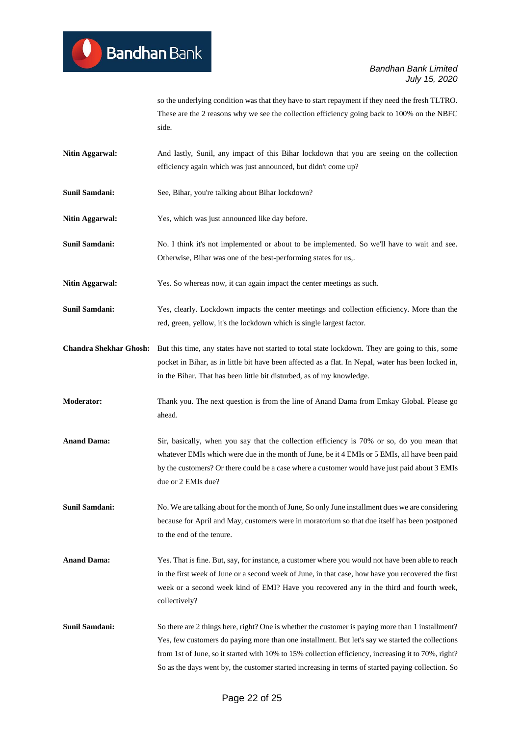so the underlying condition was that they have to start repayment if they need the fresh TLTRO. These are the 2 reasons why we see the collection efficiency going back to 100% on the NBFC side.

- **Nitin Aggarwal:** And lastly, Sunil, any impact of this Bihar lockdown that you are seeing on the collection efficiency again which was just announced, but didn't come up?
- **Sunil Samdani:** See, Bihar, you're talking about Bihar lockdown?
- Nitin Aggarwal: Yes, which was just announced like day before.
- **Sunil Samdani:** No. I think it's not implemented or about to be implemented. So we'll have to wait and see. Otherwise, Bihar was one of the best-performing states for us,.
- **Nitin Aggarwal:** Yes. So whereas now, it can again impact the center meetings as such.
- **Sunil Samdani:** Yes, clearly. Lockdown impacts the center meetings and collection efficiency. More than the red, green, yellow, it's the lockdown which is single largest factor.
- **Chandra Shekhar Ghosh:** But this time, any states have not started to total state lockdown. They are going to this, some pocket in Bihar, as in little bit have been affected as a flat. In Nepal, water has been locked in, in the Bihar. That has been little bit disturbed, as of my knowledge.
- **Moderator:** Thank you. The next question is from the line of Anand Dama from Emkay Global. Please go ahead.
- **Anand Dama:** Sir, basically, when you say that the collection efficiency is 70% or so, do you mean that whatever EMIs which were due in the month of June, be it 4 EMIs or 5 EMIs, all have been paid by the customers? Or there could be a case where a customer would have just paid about 3 EMIs due or 2 EMIs due?
- **Sunil Samdani:** No. We are talking about for the month of June, So only June installment dues we are considering because for April and May, customers were in moratorium so that due itself has been postponed to the end of the tenure.
- **Anand Dama:** Yes. That is fine. But, say, for instance, a customer where you would not have been able to reach in the first week of June or a second week of June, in that case, how have you recovered the first week or a second week kind of EMI? Have you recovered any in the third and fourth week, collectively?
- **Sunil Samdani:** So there are 2 things here, right? One is whether the customer is paying more than 1 installment? Yes, few customers do paying more than one installment. But let's say we started the collections from 1st of June, so it started with 10% to 15% collection efficiency, increasing it to 70%, right? So as the days went by, the customer started increasing in terms of started paying collection. So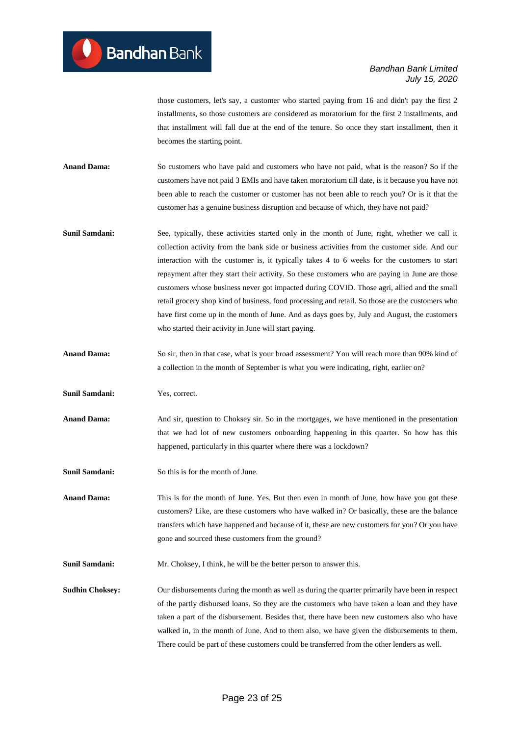those customers, let's say, a customer who started paying from 16 and didn't pay the first 2 installments, so those customers are considered as moratorium for the first 2 installments, and that installment will fall due at the end of the tenure. So once they start installment, then it becomes the starting point.

**Anand Dama:** So customers who have paid and customers who have not paid, what is the reason? So if the customers have not paid 3 EMIs and have taken moratorium till date, is it because you have not been able to reach the customer or customer has not been able to reach you? Or is it that the customer has a genuine business disruption and because of which, they have not paid?

- **Sunil Samdani:** See, typically, these activities started only in the month of June, right, whether we call it collection activity from the bank side or business activities from the customer side. And our interaction with the customer is, it typically takes 4 to 6 weeks for the customers to start repayment after they start their activity. So these customers who are paying in June are those customers whose business never got impacted during COVID. Those agri, allied and the small retail grocery shop kind of business, food processing and retail. So those are the customers who have first come up in the month of June. And as days goes by, July and August, the customers who started their activity in June will start paying.
- **Anand Dama:** So sir, then in that case, what is your broad assessment? You will reach more than 90% kind of a collection in the month of September is what you were indicating, right, earlier on?

**Sunil Samdani:** Yes, correct.

- **Anand Dama:** And sir, question to Choksey sir. So in the mortgages, we have mentioned in the presentation that we had lot of new customers onboarding happening in this quarter. So how has this happened, particularly in this quarter where there was a lockdown?
- **Sunil Samdani:** So this is for the month of June.

**Anand Dama:** This is for the month of June. Yes. But then even in month of June, how have you got these customers? Like, are these customers who have walked in? Or basically, these are the balance transfers which have happened and because of it, these are new customers for you? Or you have gone and sourced these customers from the ground?

**Sunil Samdani:** Mr. Choksey, I think, he will be the better person to answer this.

**Sudhin Choksey:** Our disbursements during the month as well as during the quarter primarily have been in respect of the partly disbursed loans. So they are the customers who have taken a loan and they have taken a part of the disbursement. Besides that, there have been new customers also who have walked in, in the month of June. And to them also, we have given the disbursements to them. There could be part of these customers could be transferred from the other lenders as well.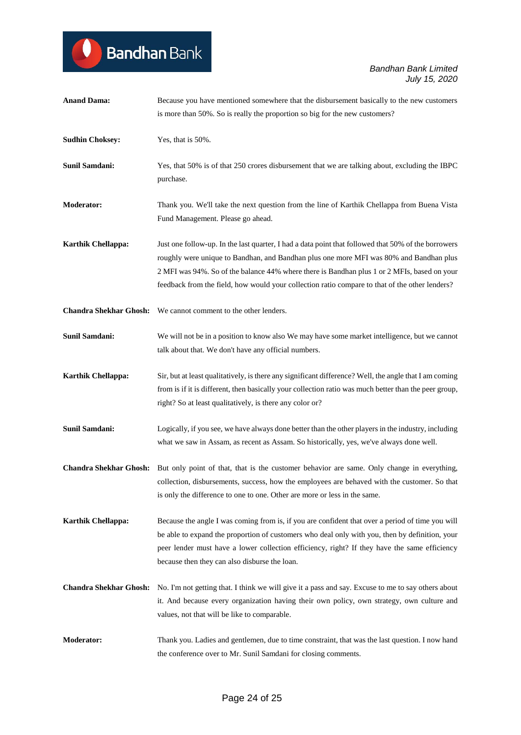| <b>Anand Dama:</b>            | Because you have mentioned somewhere that the disbursement basically to the new customers<br>is more than 50%. So is really the proportion so big for the new customers?                                                                                                                                                                                                                       |
|-------------------------------|------------------------------------------------------------------------------------------------------------------------------------------------------------------------------------------------------------------------------------------------------------------------------------------------------------------------------------------------------------------------------------------------|
| <b>Sudhin Choksey:</b>        | Yes, that is 50%.                                                                                                                                                                                                                                                                                                                                                                              |
| <b>Sunil Samdani:</b>         | Yes, that 50% is of that 250 crores disbursement that we are talking about, excluding the IBPC<br>purchase.                                                                                                                                                                                                                                                                                    |
| Moderator:                    | Thank you. We'll take the next question from the line of Karthik Chellappa from Buena Vista<br>Fund Management. Please go ahead.                                                                                                                                                                                                                                                               |
| <b>Karthik Chellappa:</b>     | Just one follow-up. In the last quarter, I had a data point that followed that 50% of the borrowers<br>roughly were unique to Bandhan, and Bandhan plus one more MFI was 80% and Bandhan plus<br>2 MFI was 94%. So of the balance 44% where there is Bandhan plus 1 or 2 MFIs, based on your<br>feedback from the field, how would your collection ratio compare to that of the other lenders? |
|                               | Chandra Shekhar Ghosh: We cannot comment to the other lenders.                                                                                                                                                                                                                                                                                                                                 |
| Sunil Samdani:                | We will not be in a position to know also We may have some market intelligence, but we cannot<br>talk about that. We don't have any official numbers.                                                                                                                                                                                                                                          |
| <b>Karthik Chellappa:</b>     | Sir, but at least qualitatively, is there any significant difference? Well, the angle that I am coming<br>from is if it is different, then basically your collection ratio was much better than the peer group,<br>right? So at least qualitatively, is there any color or?                                                                                                                    |
| Sunil Samdani:                | Logically, if you see, we have always done better than the other players in the industry, including<br>what we saw in Assam, as recent as Assam. So historically, yes, we've always done well.                                                                                                                                                                                                 |
| <b>Chandra Shekhar Ghosh:</b> | But only point of that, that is the customer behavior are same. Only change in everything,<br>collection, disbursements, success, how the employees are behaved with the customer. So that<br>is only the difference to one to one. Other are more or less in the same.                                                                                                                        |
| <b>Karthik Chellappa:</b>     | Because the angle I was coming from is, if you are confident that over a period of time you will<br>be able to expand the proportion of customers who deal only with you, then by definition, your<br>peer lender must have a lower collection efficiency, right? If they have the same efficiency<br>because then they can also disburse the loan.                                            |
| <b>Chandra Shekhar Ghosh:</b> | No. I'm not getting that. I think we will give it a pass and say. Excuse to me to say others about<br>it. And because every organization having their own policy, own strategy, own culture and<br>values, not that will be like to comparable.                                                                                                                                                |
| <b>Moderator:</b>             | Thank you. Ladies and gentlemen, due to time constraint, that was the last question. I now hand<br>the conference over to Mr. Sunil Samdani for closing comments.                                                                                                                                                                                                                              |

Bandhan Bank